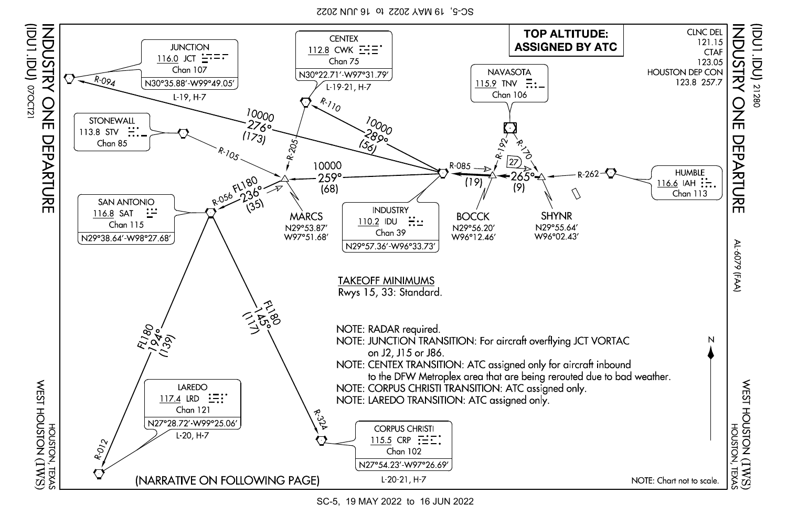SC-5, 19 MAY 2022 to 16 JUN 2022



SC-5, 19 MAY 2022 to 16 JUN 2022